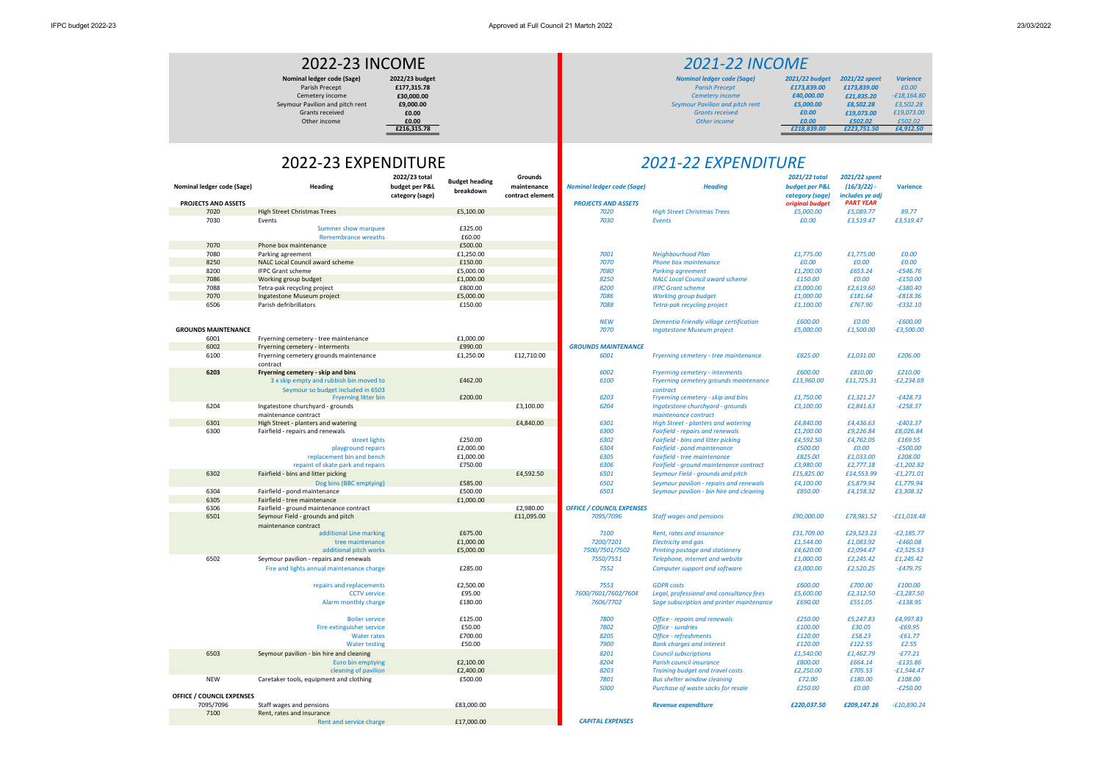| 021/22 total<br>dget per P&L<br>tegory (sage)<br>iginal budget | 2021/22 spent<br>$(16/3/22)$ -<br>includes ye adj<br><b>PART YEAR</b> | <b>Varience</b>            |  |  |
|----------------------------------------------------------------|-----------------------------------------------------------------------|----------------------------|--|--|
| £5,000.00                                                      | £5,089.77                                                             | 89.77                      |  |  |
| £0.00                                                          | £3,519.47                                                             | £3,519.47                  |  |  |
| £1,775.00                                                      | £1,775.00                                                             | £0.00                      |  |  |
| £0.00                                                          | £0.00                                                                 | £0.00                      |  |  |
| £1,200.00                                                      | £653.24                                                               | $-£546.76$                 |  |  |
| £150.00                                                        | £0.00                                                                 | $-£150.00$                 |  |  |
| £3,000.00                                                      | £2,619.60                                                             | $-£380.40$                 |  |  |
| £1,000.00                                                      | £181.64                                                               | $-£818.36$                 |  |  |
| £1,100.00                                                      | £767.90                                                               | $-£332.10$                 |  |  |
| £600.00                                                        | £0.00                                                                 | <i><b>-£600.00</b></i>     |  |  |
| £5,000.00                                                      | £1,500.00                                                             | $-E3,500.00$               |  |  |
| £825.00                                                        | £1,031.00                                                             | £206.00                    |  |  |
| £600.00                                                        | £810.00                                                               | £210.00                    |  |  |
| £13,960.00                                                     | £11,725.31                                                            | $-E2,234.69$               |  |  |
| £1,750.00                                                      | £1,321.27                                                             | $-f428.73$                 |  |  |
| £3,100.00                                                      | £2,841.63                                                             | $-E258.37$                 |  |  |
| £4,840.00                                                      | £4,436.63                                                             | -£403.37                   |  |  |
| £1,200.00                                                      | £9,226.84                                                             | £8,026.84                  |  |  |
| £4,592.50                                                      | £4,762.05                                                             | £169.55                    |  |  |
| £500.00                                                        | £0.00                                                                 | -£500.00                   |  |  |
| £825.00                                                        | £1,033.00                                                             | £208.00                    |  |  |
| £3,980.00                                                      | £2,777.18                                                             | <b>-£1,202.82</b>          |  |  |
| £15,825.00                                                     | £14,553.99                                                            | <i>-£1,271.01</i>          |  |  |
| £4,100.00<br>£850.00                                           | £5,879.94<br>£4,158.32                                                | £1,779.94<br>£3,308.32     |  |  |
| £90,000.00                                                     | £78,981.52                                                            | -£11,018.48                |  |  |
| £31,709.00                                                     | £29,523.23                                                            | $-E2,185.77$               |  |  |
| £1,544.00                                                      | £1,083.92                                                             | $-£460.08$                 |  |  |
| £4,620.00                                                      | £2,094.47                                                             | $-E2,525.53$               |  |  |
| £1,000.00                                                      | £2,245.42                                                             | £1,245.42                  |  |  |
| £3,000.00                                                      | £2,520.25                                                             | $-£479.75$                 |  |  |
| £600.00                                                        | £700.00                                                               | £100.00                    |  |  |
| £5,600.00                                                      | £2,312.50                                                             | $-E3,287.50$               |  |  |
| £690.00                                                        | £551.05                                                               | $-£138.95$                 |  |  |
| £250.00                                                        | £5,247.83                                                             | £4,997.83                  |  |  |
| £100.00                                                        | £30.05                                                                | $-£69.95$                  |  |  |
| £120.00                                                        | £58.23                                                                | -£61.77                    |  |  |
| £120.00                                                        | £122.55                                                               | £2.55                      |  |  |
| £1,540.00                                                      | £1.462.79<br>£664.14                                                  | $-E77.21$                  |  |  |
| £800.00                                                        | £705.53                                                               | $-£135.86$<br>$-£1,544.47$ |  |  |
| £2,250.00<br>£72.00                                            | £180.00                                                               | £108.00                    |  |  |
| £250.00                                                        | £0.00                                                                 | $-E250.00$                 |  |  |
|                                                                |                                                                       |                            |  |  |

|                                  |                                             | 2022/23 total                     | <b>Budget heading</b>  | Grounds                         |                                   |                                                                                       | 2021/22 total                     | 2021/22 spent                    |                            |
|----------------------------------|---------------------------------------------|-----------------------------------|------------------------|---------------------------------|-----------------------------------|---------------------------------------------------------------------------------------|-----------------------------------|----------------------------------|----------------------------|
| Nominal ledger code (Sage)       | Heading                                     | budget per P&L<br>category (sage) | breakdown              | maintenance<br>contract element | <b>Nominal ledger code (Sage)</b> | <b>Heading</b>                                                                        | budget per P&L<br>category (sage) | $(16/3/22)$ -<br>includes ye adj | <b>Varience</b>            |
| PROJECTS AND ASSETS              |                                             |                                   |                        |                                 | <b>PROJECTS AND ASSETS</b>        |                                                                                       | original budget                   | <b>PART YEAR</b>                 |                            |
| 7020                             | <b>High Street Christmas Trees</b>          |                                   | £5,100.00              |                                 | 7020                              | <b>High Street Christmas Trees</b>                                                    | £5,000.00                         | £5,089.77                        | 89.77                      |
| 7030                             | Events                                      |                                   |                        |                                 | 7030                              | <b>Events</b>                                                                         | £0.00                             | £3,519.47                        | £3,519.47                  |
|                                  | Summer show marquee                         |                                   | £325.00                |                                 |                                   |                                                                                       |                                   |                                  |                            |
|                                  | <b>Remembrance wreaths</b>                  |                                   | £60.00                 |                                 |                                   |                                                                                       |                                   |                                  |                            |
| 7070                             | Phone box maintenance                       |                                   | £500.00                |                                 |                                   |                                                                                       |                                   |                                  |                            |
| 7080                             | Parking agreement                           |                                   | £1,250.00              |                                 | 7001                              | Neighbourhood Plan                                                                    | £1,775.00                         | £1,775.00                        | £0.00                      |
| 8250                             | NALC Local Council award scheme             |                                   | £150.00                |                                 | 7070                              | Phone box maintenance                                                                 | £0.00                             | £0.00                            | £0.00                      |
| 8200                             | <b>IFPC Grant scheme</b>                    |                                   | £5,000.00              |                                 | 7080                              | <b>Parking agreement</b>                                                              | £1,200.00                         | £653.24                          | $-£546.76$                 |
| 7086                             | Working group budget                        |                                   | £1,000.00              |                                 | 8250                              | <b>NALC Local Council award scheme</b>                                                | £150.00                           | £0.00                            | $-£150.00$                 |
| 7088                             | Tetra-pak recycling project                 |                                   | £800.00                |                                 | 8200                              | <b>IFPC Grant scheme</b>                                                              | £3,000.00                         | £2,619.60                        | $-£380.40$                 |
| 7070                             | Ingatestone Museum project                  |                                   | £5,000.00              |                                 | 7086                              | <b>Working group budget</b>                                                           | £1,000.00                         | £181.64                          | $-£818.36$                 |
| 6506                             | Parish defribrillators                      |                                   | £150.00                |                                 | 7088                              | Tetra-pak recycling project                                                           | £1,100.00                         | £767.90                          | $-£332.10$                 |
|                                  |                                             |                                   |                        |                                 |                                   |                                                                                       |                                   |                                  |                            |
|                                  |                                             |                                   |                        |                                 | <b>NEW</b>                        | Dementia Friendly village certification                                               | £600.00                           | £0.00                            | $-£600.00$                 |
| <b>GROUNDS MAINTENANCE</b>       |                                             |                                   |                        |                                 | 7070                              | <b>Ingatestone Museum project</b>                                                     | £5,000.00                         | £1,500.00                        | $-E3,500.00$               |
| 6001                             | Fryerning cemetery - tree maintenance       |                                   | £1,000.00              |                                 |                                   |                                                                                       |                                   |                                  |                            |
| 6002                             | Fryerning cemetery - interments             |                                   | £990.00                |                                 | <b>GROUNDS MAINTENANCE</b>        |                                                                                       |                                   |                                  |                            |
| 6100                             | Fryerning cemetery grounds maintenance      |                                   | £1,250.00              | £12,710.00                      | 6001                              | Fryerning cemetery - tree maintenance                                                 | £825.00                           | £1,031.00                        | £206.00                    |
|                                  | contract                                    |                                   |                        |                                 |                                   |                                                                                       |                                   |                                  |                            |
| 6203                             | Fryerning cemetery - skip and bins          |                                   |                        |                                 | 6002                              | <b>Fryerning cemetery - interments</b>                                                | £600.00                           | £810.00                          | £210.00                    |
|                                  | 3 x skip empty and rubbish bin moved to     |                                   | £462.00                |                                 | 6100                              | Fryerning cemetery grounds maintenance                                                | £13,960.00                        | £11,725.31                       | $-E2,234.69$               |
|                                  | Seymour so budget included in 6503          |                                   |                        |                                 |                                   | contract                                                                              |                                   |                                  |                            |
|                                  | <b>Fryerning litter bin</b>                 |                                   | £200.00                |                                 | 6203                              | Fryerning cemetery - skip and bins                                                    | £1,750.00                         | £1,321.27                        | $-f428.73$                 |
| 6204                             | Ingatestone churchyard - grounds            |                                   |                        | £3,100.00                       | 6204                              | Ingatestone churchyard - grounds                                                      | £3,100.00                         | £2,841.63                        | $-E258.37$                 |
|                                  | maintenance contract                        |                                   |                        |                                 |                                   | maintenance contract                                                                  |                                   |                                  |                            |
| 6301                             | High Street - planters and watering         |                                   |                        | £4,840.00                       | 6301                              | <b>High Street - planters and watering</b>                                            | £4,840.00                         | £4,436.63                        | $-£403.37$                 |
| 6300                             | Fairfield - repairs and renewals            |                                   |                        |                                 | 6300                              | <b>Fairfield - repairs and renewals</b>                                               | £1,200.00                         | £9,226.84                        | £8,026.84                  |
|                                  | street lights                               |                                   | £250.00                |                                 | 6302                              | Fairfield - bins and litter picking                                                   | £4,592.50                         | £4,762.05                        | £169.55                    |
|                                  | playground repairs                          |                                   | £2,000.00              |                                 | 6304                              | Fairfield - pond maintenance                                                          | £500.00                           | £0.00                            | $-£500.00$                 |
|                                  | replacement bin and bench                   |                                   | £1,000.00              |                                 | 6305                              | Fairfield - tree maintenance                                                          | £825.00                           | £1,033.00                        | £208.00                    |
|                                  | repaint of skate park and repairs           |                                   | £750.00                |                                 | 6306                              | Fairfield - ground maintenance contract                                               | £3,980.00                         | £2,777.18                        | $-f1,202.82$               |
| 6302                             | Fairfield - bins and litter picking         |                                   |                        | £4,592.50                       | 6501                              | Seymour Field - grounds and pitch                                                     | £15,825.00                        | £14,553.99                       | $-£1,271.01$               |
|                                  | Dog bins (BBC emptying)                     |                                   | £585.00                |                                 | 6502                              | Seymour pavilion - repairs and renewals                                               | £4,100.00                         | £5,879.94                        | £1,779.94                  |
| 6304                             | Fairfield - pond maintenance                |                                   | £500.00                |                                 | 6503                              | Seymour pavilion - bin hire and cleaning                                              | £850.00                           | £4,158.32                        | £3,308.32                  |
| 6305                             | Fairfield - tree maintenance                |                                   | £1,000.00              |                                 |                                   |                                                                                       |                                   |                                  |                            |
| 6306                             | Fairfield - ground maintenance contract     |                                   |                        | £2,980.00                       | <b>OFFICE / COUNCIL EXPENSES</b>  |                                                                                       |                                   |                                  |                            |
| 6501                             | Seymour Field - grounds and pitch           |                                   |                        | £11,095.00                      | 7095/7096                         | <b>Staff wages and pensions</b>                                                       | £90,000.00                        | £78,981.52                       | $-f11,018.48$              |
|                                  | maintenance contract                        |                                   | £675.00                |                                 |                                   |                                                                                       |                                   |                                  |                            |
|                                  | additional Line marking<br>tree maintenance |                                   |                        |                                 | 7100<br>7200/7201                 | Rent, rates and insurance                                                             | £31,709.00                        | £29,523.23<br>£1,083.92          | $-E2,185.77$<br>$-£460.08$ |
|                                  | additional pitch works                      |                                   | £1,000.00<br>£5,000.00 |                                 | 7500/7501/7502                    | <b>Electricity and gas</b><br>Printing postage and stationery                         | £1,544.00<br>£4,620.00            | £2,094.47                        | $-E2,525.53$               |
| 6502                             | Seymour pavilion - repairs and renewals     |                                   |                        |                                 | 7550/7551                         | Telephone, internet and website                                                       | £1,000.00                         | £2,245.42                        | £1,245.42                  |
|                                  |                                             |                                   |                        |                                 | 7552                              |                                                                                       |                                   |                                  |                            |
|                                  | Fire and lights annual maintenance charge   |                                   | £285.00                |                                 |                                   | <b>Computer support and software</b>                                                  | £3,000.00                         | £2,520.25                        | $-£479.75$                 |
|                                  | repairs and replacements                    |                                   | £2.500.00              |                                 | 7553                              | <b>GDPR</b> costs                                                                     | £600.00                           | £700.00                          | £100.00                    |
|                                  | <b>CCTV</b> service                         |                                   | £95.00                 |                                 | 7600/7601/7602/7604               |                                                                                       | £5,600.00                         | £2,312.50                        | $-E3,287.50$               |
|                                  | Alarm monthly charge                        |                                   | £180.00                |                                 | 7606/7702                         | Legal, professional and consultancy fees<br>Sage subscription and printer maintenance | £690.00                           | £551.05                          | $-£138.95$                 |
|                                  |                                             |                                   |                        |                                 |                                   |                                                                                       |                                   |                                  |                            |
|                                  | <b>Boiler service</b>                       |                                   | £125.00                |                                 | 7800                              | <b>Office - repairs and renewals</b>                                                  | £250.00                           | £5,247.83                        | £4,997.83                  |
|                                  | Fire extinguisher service                   |                                   | £50.00                 |                                 | 7802                              | Office - sundries                                                                     | £100.00                           | £30.05                           | $-£69.95$                  |
|                                  | <b>Water rates</b>                          |                                   | £700.00                |                                 | 8205                              | Office - refreshments                                                                 | £120.00                           | £58.23                           | $-£61.77$                  |
|                                  | <b>Water testing</b>                        |                                   | £50.00                 |                                 | 7900                              | <b>Bank charges and interest</b>                                                      | £120.00                           | £122.55                          | E2.55                      |
| 6503                             | Seymour pavilion - bin hire and cleaning    |                                   |                        |                                 | 8201                              | <b>Council subscriptions</b>                                                          | £1,540.00                         | £1,462.79                        | $-E77.21$                  |
|                                  | Euro bin emptying                           |                                   | £2,100.00              |                                 | 8204                              | Parish council insurance                                                              | £800.00                           | £664.14                          | $-£135.86$                 |
|                                  | cleaning of pavilion                        |                                   | £2,400.00              |                                 | 8203                              | Training budget and travel costs                                                      | £2,250.00                         | £705.53                          | $-£1,544.47$               |
| <b>NEW</b>                       | Caretaker tools, equipment and clothing     |                                   | £500.00                |                                 | 7801                              | <b>Bus shelter window cleaning</b>                                                    | £72.00                            | £180.00                          | £108.00                    |
|                                  |                                             |                                   |                        |                                 | 5000                              | Purchase of waste sacks for resale                                                    | £250.00                           | £0.00                            | <b>-£250.00</b>            |
| <b>OFFICE / COUNCIL EXPENSES</b> |                                             |                                   |                        |                                 |                                   |                                                                                       |                                   |                                  |                            |
| 7095/7096                        | Staff wages and pensions                    |                                   | £83,000.00             |                                 |                                   | <b>Revenue expenditure</b>                                                            | £220,037.50                       | £209,147.26                      | $-E10,890.24$              |
| 7100                             | Rent, rates and insurance                   |                                   |                        |                                 |                                   |                                                                                       |                                   |                                  |                            |
|                                  | Rent and service charge                     |                                   | £17,000.00             |                                 | <b>CAPITAL EXPENSES</b>           |                                                                                       |                                   |                                  |                            |

## 2021-22 EXPENDITURE

## 2022-23 INCOME

2022-23 EXPENDITURE

| 2021/22 spent | <b>Varience</b> |  |
|---------------|-----------------|--|
| £173,839.00   | £0.00           |  |
| £21,835,20    | $-£18.164.80$   |  |
| £8,502.28     | £3,502.28       |  |
| £19,073.00    | £19.073.00      |  |
| £502.02       | £502.02         |  |
| £223,751.50   | £4,912.50       |  |
|               |                 |  |

## 2021-22 INCOME

Nominal ledger code (Sage) 2022/23 budget 2022/23 budget Nominal ledger code (Sage) 2021/22 budget 2021/22 budget<br>Parish Precept 2021/22 budget 2177,315.78 and 2021/23 period 2021/23 period 2021/23 period 2021/23 period 21 Parish Precept **£177,315.78 Parish Precept £1.73,839.00 £173,839.00** £173,839.00 £0.00 Cemetery income £30,000.00 Cemetery income £40,000.00 £21,835.20 -£18,164.80 Seymour Pavilion and pitch rent **£9,000.00** Exercised Exercises and Exercise Exercises of the Exercise Exercised E<br>
Seymour Pavilion and pitch rent **£5,000.00** E0.00 **£3,000.00** E0.00 **£3,000.00** E0.00 Grants received £0.00 Grants received £0.00 £19,073.00 £19,073.00 Other income  $\overline{10.00}$   $\overline{20.02}$   $\overline{2502.02}$   $\overline{2502.02}$   $\overline{2502.02}$   $\overline{2502.02}$   $\overline{2502.02}$   $\overline{2502.02}$   $\overline{2502.02}$   $\overline{2502.02}$   $\overline{2502.02}$   $\overline{2502.02}$   $\overline{2502.02}$   $\overline{2502.02}$   $\$  $\frac{60.00}{\pm 216,315.78}$   $\frac{60.00}{\pm 216,315.78}$   $\frac{60.00}{\pm 216,315.78}$